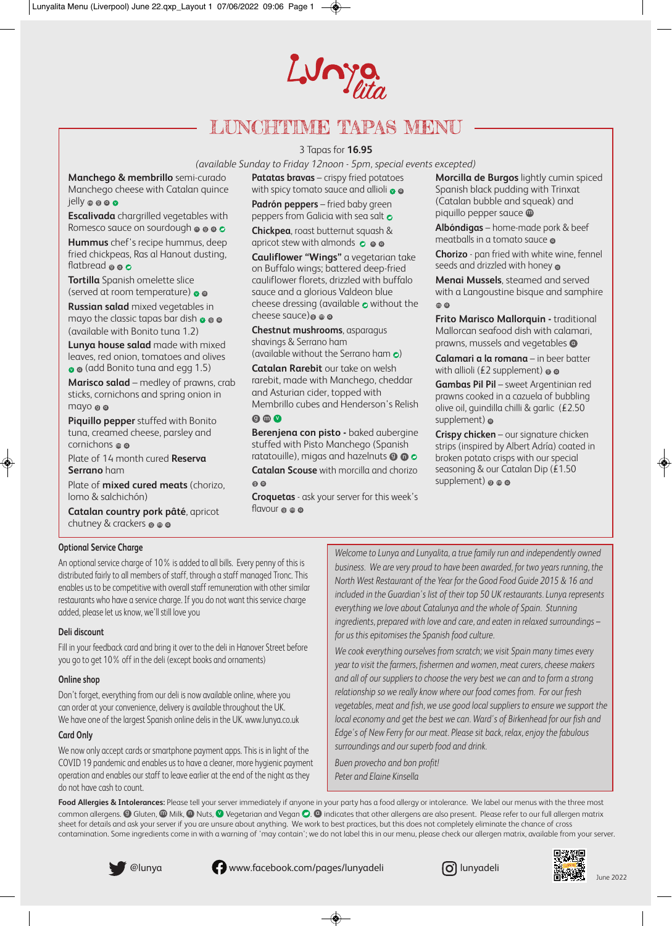# Lunya

# LUNCHTIME TAPAS MENU

#### 3 Tapas for **16.95**

*(available Sunday to Friday 12noon - 5pm, special events excepted)*

**Manchego & membrillo** semi-curado Manchego cheese with Catalan quince jelly @ @ @

**Escalivada** chargrilled vegetables with Romesco sauce on sourdough **@ @ c** 

**Hummus** chef's recipe hummus, deep fried chickpeas, Ras al Hanout dusting, flatbread **@ @** 

**Tortilla** Spanish omelette slice (served at room temperature)  $\bullet$   $\bullet$ 

**Russian salad** mixed vegetables in mayo the classic tapas bar dish  $\bullet\,\bullet\,\bullet$ (available with Bonito tuna 1.2)

**Lunya house salad** made with mixed leaves, red onion, tomatoes and olives  $\bullet$   $\bullet$  (add Bonito tuna and egg 1.5)

**Marisco salad** – medley of prawns, crab sticks, cornichons and spring onion in mayo o c

**Piquillo pepper** stuffed with Bonito tuna, creamed cheese, parsley and cornichons @ c

Plate of 14 month cured **Reserva Serrano** ham

Plate of **mixed cured meats** (chorizo, lomo & salchichón)

**Catalan country pork pâté**, apricot chutney & crackers @ @ @

**Patatas bravas** – crispy fried potatoes with spicy tomato sauce and allioli  $\bullet$   $\bullet$ 

**Padrón peppers** – fried baby green peppers from Galicia with sea salt **o** 

**Chickpea**, roast butternut squash & apricot stew with almonds  $\,\circ\, \bullet\, \bullet$ 

**Cauliflower "Wings"** a vegetarian take on Buffalo wings; battered deep-fried cauliflower florets, drizzled with buffalo sauce and a glorious Valdeon blue cheese dressing (available  $\bullet$  without the cheese sauce)o o c

**Chestnut mushrooms**, asparagus shavings & Serrano ham

(available without the Serrano ham  $\epsilon$ )

**Catalan Rarebit** our take on welsh rarebit, made with Manchego, cheddar and Asturian cider, topped with Membrillo cubes and Henderson's Relish  $\Omega$  m  $\Omega$ 

**Berenjena con pisto -** baked aubergine stuffed with Pisto Manchego (Spanish ratatouille), migas and hazelnuts  $\boldsymbol{\mathsf{\Theta}}$  **G** 

**Catalan Scouse** with morcilla and chorizo g a

**Croquetas** - ask your server for this week's flavour ๏ ๏ ๔

**Morcilla de Burgos** lightly cumin spiced Spanish black pudding with Trinxat (Catalan bubble and squeak) and piquillo pepper sauce **@** 

**Albóndigas** – home-made pork & beef meatballs in a tomato sauce  $\epsilon$ 

**Chorizo** - pan fried with white wine, fennel seeds and drizzled with honey  $\epsilon$ 

**Menai Mussels**, steamed and served with a Langoustine bisque and samphire m a

**Frito Marisco Mallorquin - traditional** Mallorcan seafood dish with calamari, prawns, mussels and vegetables **C** 

**Calamari a la romana** – in beer batter with allioli (£2 supplement)  $\boldsymbol{\mathsf{\scriptstyle{\circ}}}$   $\boldsymbol{\mathsf{\scriptstyle{\circ}}}$ 

**Gambas Pil Pil** – sweet Argentinian red prawns cooked in a cazuela of bubbling olive oil, guindilla chilli & garlic (£2.50 supplement) **c** 

**Crispy chicken** – our signature chicken strips (inspired by Albert Adría) coated in broken potato crisps with our special seasoning & our Catalan Dip (£1.50 supplement)  $\circ\circ\circ$ 

#### **Optional Service Charge**

An optional service charge of 10% is added to all bills. Every penny of this is distributed fairly to all members of staff, through a staff managed Tronc. This enables us to be competitive with overall staff remuneration with other similar restaurants who have a service charge. If you do not want this service charge added, please let us know, we'll still love you

#### **Deli discount**

Fill in your feedback card and bring it over to the deli in Hanover Street before you go to get 10% off in the deli (except books and ornaments)

#### **Online shop**

Don't forget, everything from our deli is now available online, where you can order at your convenience, delivery is available throughout the UK. We have one of the largest Spanish online delis in the UK. www.lunya.co.uk

#### **Card Only**

We now only accept cards or smartphone payment apps. This is in light of the COVID 19 pandemic and enables us to have a cleaner, more hygienic payment operation and enables our staff to leave earlier at the end of the night as they do not have cash to count.

*Welcome to Lunya and Lunyalita, a true family run and independently owned business. We are very proud to have been awarded, for two years running, the North West Restaurant of the Year for the Good Food Guide 2015 & 16 and included in the Guardian's list of their top 50 UK restaurants. Lunya represents everything we love about Catalunya and the whole of Spain. Stunning ingredients, prepared with love and care, and eaten in relaxed surroundings – for us this epitomises the Spanish food culture.*

*We cook everything ourselves from scratch; we visit Spain many times every year to visit the farmers, fishermen and women, meat curers, cheese makers and all of our suppliers to choose the very best we can and to form a strong relationship so we really know where our food comes from. For our fresh vegetables, meat and fish, we use good local suppliers to ensure we support the local economy and get the best we can. Ward's of Birkenhead for our fish and Edge's of New Ferry for our meat. Please sit back, relax, enjoy the fabulous surroundings and our superb food and drink.* 

*Buen provecho and bon profit! Peter and Elaine Kinsella*

Food Allergies & Intolerances: Please tell your server immediately if anyone in your party has a food allergy or intolerance. We label our menus with the three most common allergens.  $\bm{\Theta}$  Gluten,  $\bm{\Theta}$  Milk,  $\bm{\Theta}$  Nuts,  $\bm{\mathcal{O}}$  Vegetarian and Vegan  $\bm{\Theta}$ .  $\bm{\Theta}$  indicates that other allergens are also present. Please refer to our full allergen matrix sheet for details and ask your server if you are unsure about anything. We work to best practices, but this does not completely eliminate the chance of cross contamination. Some ingredients come in with a warning of 'may contain'; we do not label this in our menu, please check our allergen matrix, available from your server.

@lunya **www.facebook.com/pages/lunyadeli** (alunyadeli





◈